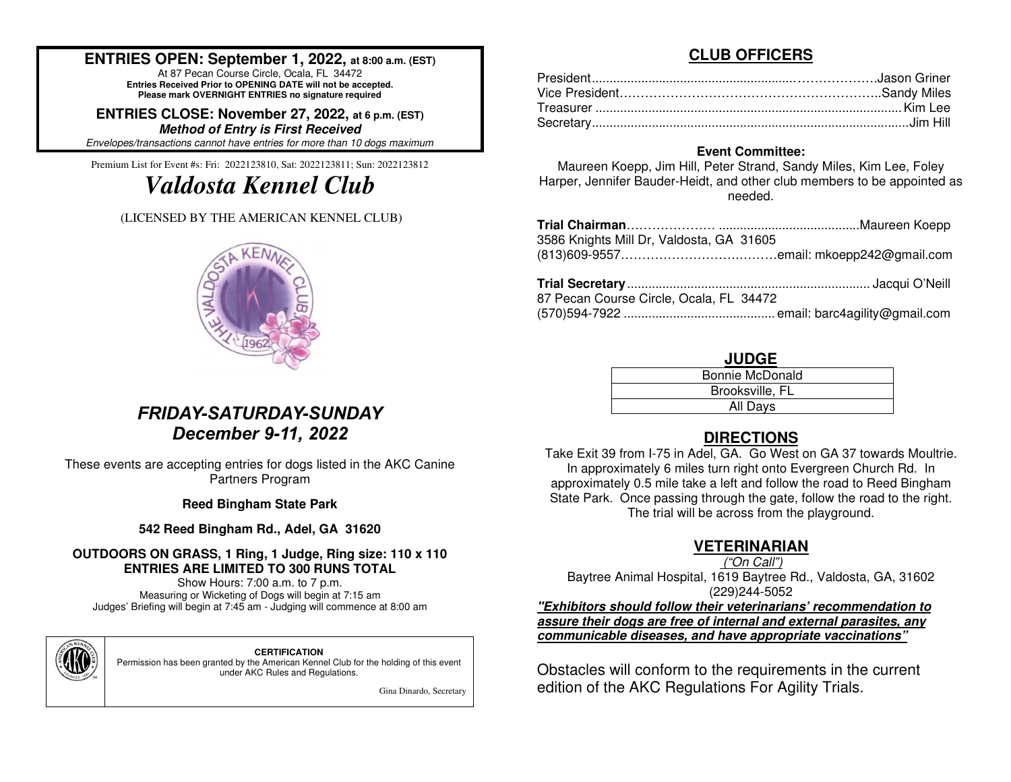### **ENTRIES OPEN: September 1, 2022, at 8:00 a.m. (EST)**

At 87 Pecan Course Circle, Ocala, FL 34472 **Entries Received Prior to OPENING DATE will not be accepted. Please mark OVERNIGHT ENTRIES no signature required**

**ENTRIES CLOSE: November 27, 2022, at 6 p.m. (EST)Method of Entry is First Received**Envelopes/transactions cannot have entries for more than 10 dogs maximum.

Premium List for Event #s: Fri: 2022123810, Sat: 2022123811; Sun: 2022123812

# *Valdosta Kennel Club*

#### (LICENSED BY THE AMERICAN KENNEL CLUB)



## *FRIDAY-SATURDAY-SUNDAYDecember 9-11, 2022*

These events are accepting entries for dogs listed in the AKC Canine Partners Program

**Reed Bingham State Park** 

**542 Reed Bingham Rd., Adel, GA 31620** 

#### **OUTDOORS ON GRASS, 1 Ring, 1 Judge, Ring size: 110 x 110 ENTRIES ARE LIMITED TO 300 RUNS TOTAL**

Show Hours: 7:00 a.m. to 7 p.m. Measuring or Wicketing of Dogs will begin at 7:15 am Judges' Briefing will begin at 7:45 am - Judging will commence at 8:00 am



**CERTIFICATION**  Permission has been granted by the American Kennel Club for the holding of this event under AKC Rules and Regulations.

Gina Dinardo, Secretary

### **CLUB OFFICERS**

#### **Event Committee:**

 Maureen Koepp, Jim Hill, Peter Strand, Sandy Miles, Kim Lee, Foley Harper, Jennifer Bauder-Heidt, and other club members to be appointed as needed.

| 3586 Knights Mill Dr, Valdosta, GA 31605 |  |
|------------------------------------------|--|
| 87 Pecan Course Circle, Ocala, FL 34472  |  |
|                                          |  |

#### **JUDGE**

| Bonnie McDonald |  |
|-----------------|--|
| Brooksville, FL |  |
| All Days        |  |

### **DIRECTIONS**

 Take Exit 39 from I-75 in Adel, GA. Go West on GA 37 towards Moultrie. In approximately 6 miles turn right onto Evergreen Church Rd. In approximately 0.5 mile take a left and follow the road to Reed Bingham State Park. Once passing through the gate, follow the road to the right. The trial will be across from the playground.

### **VETERINARIAN**

("On Call")

 Baytree Animal Hospital, 1619 Baytree Rd., Valdosta, GA, 31602 (229)244-5052

 **"Exhibitors should follow their veterinarians' recommendation to assure their dogs are free of internal and external parasites, any communicable diseases, and have appropriate vaccinations"** 

Obstacles will conform to the requirements in the current edition of the AKC Regulations For Agility Trials.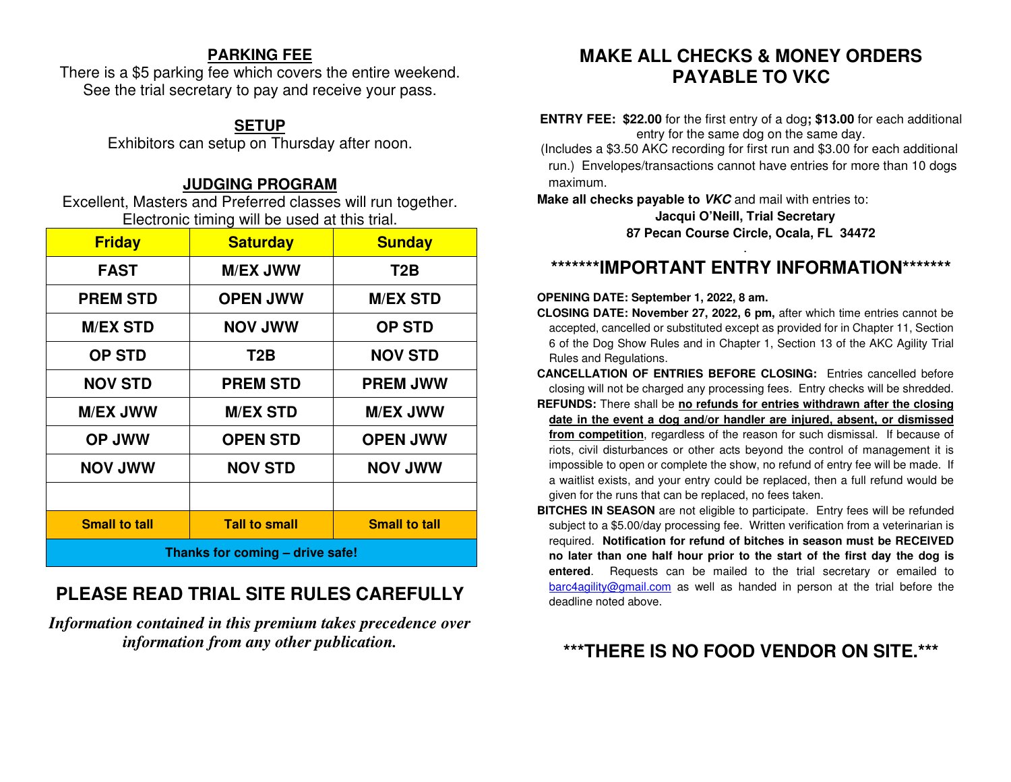### **PARKING FEE**

 There is a \$5 parking fee which covers the entire weekend. See the trial secretary to pay and receive your pass.

### **SETUP**

Exhibitors can setup on Thursday after noon.

### **JUDGING PROGRAM**

 Excellent, Masters and Preferred classes will run together. Electronic timing will be used at this trial.

| <b>Friday</b>                   | <b>Saturday</b>      | <b>Sunday</b>        |  |  |  |  |
|---------------------------------|----------------------|----------------------|--|--|--|--|
| <b>FAST</b>                     | <b>M/EX JWW</b>      | T <sub>2</sub> B     |  |  |  |  |
| <b>PREM STD</b>                 | <b>OPEN JWW</b>      | <b>M/EX STD</b>      |  |  |  |  |
| <b>M/EX STD</b>                 | <b>WWL VON</b>       | <b>OP STD</b>        |  |  |  |  |
| <b>OP STD</b>                   | T <sub>2</sub> B     | <b>NOV STD</b>       |  |  |  |  |
| <b>NOV STD</b>                  | <b>PREM STD</b>      | <b>PREM JWW</b>      |  |  |  |  |
| <b>M/EX JWW</b>                 | <b>M/EX STD</b>      | <b>M/EX JWW</b>      |  |  |  |  |
| <b>OP JWW</b>                   | <b>OPEN STD</b>      | <b>OPEN JWW</b>      |  |  |  |  |
| <b>NOV JWW</b>                  | <b>NOV STD</b>       | <b>NOV JWW</b>       |  |  |  |  |
|                                 |                      |                      |  |  |  |  |
| <b>Small to tall</b>            | <b>Tall to small</b> | <b>Small to tall</b> |  |  |  |  |
| Thanks for coming - drive safe! |                      |                      |  |  |  |  |

## **PLEASE READ TRIAL SITE RULES CAREFULLY**

*Information contained in this premium takes precedence over information from any other publication.*

## **MAKE ALL CHECKS & MONEY ORDERS PAYABLE TO VKC**

**ENTRY FEE: \$22.00** for the first entry of a dog**; \$13.00** for each additional entry for the same dog on the same day.

 (Includes a \$3.50 AKC recording for first run and \$3.00 for each additional run.) Envelopes/transactions cannot have entries for more than 10 dogs maximum.

**Make all checks payable to VKC** and mail with entries to:

**Jacqui O'Neill, Trial Secretary 87 Pecan Course Circle, Ocala, FL 34472** 

## **\*\*\*\*\*\*\*IMPORTANT ENTRY INFORMATION\*\*\*\*\*\*\***

#### **OPENING DATE: September 1, 2022, 8 am.**

**CLOSING DATE: November 27, 2022, 6 pm,** after which time entries cannot be accepted, cancelled or substituted except as provided for in Chapter 11, Section 6 of the Dog Show Rules and in Chapter 1, Section 13 of the AKC Agility Trial Rules and Regulations.

**CANCELLATION OF ENTRIES BEFORE CLOSING:** Entries cancelled before closing will not be charged any processing fees. Entry checks will be shredded.

- **REFUNDS:** There shall be **no refunds for entries withdrawn after the closing date in the event a dog and/or handler are injured, absent, or dismissed from competition**, regardless of the reason for such dismissal. If because of riots, civil disturbances or other acts beyond the control of management it is impossible to open or complete the show, no refund of entry fee will be made. If a waitlist exists, and your entry could be replaced, then a full refund would be given for the runs that can be replaced, no fees taken.
- **BITCHES IN SEASON** are not eligible to participate. Entry fees will be refunded subject to a \$5.00/day processing fee. Written verification from a veterinarian is required. **Notification for refund of bitches in season must be RECEIVED no later than one half hour prior to the start of the first day the dog is entered**. Requests can be mailed to the trial secretary or emailed to barc4agility@gmail.com as well as handed in person at the trial before the deadline noted above.

## **\*\*\*THERE IS NO FOOD VENDOR ON SITE.\*\*\***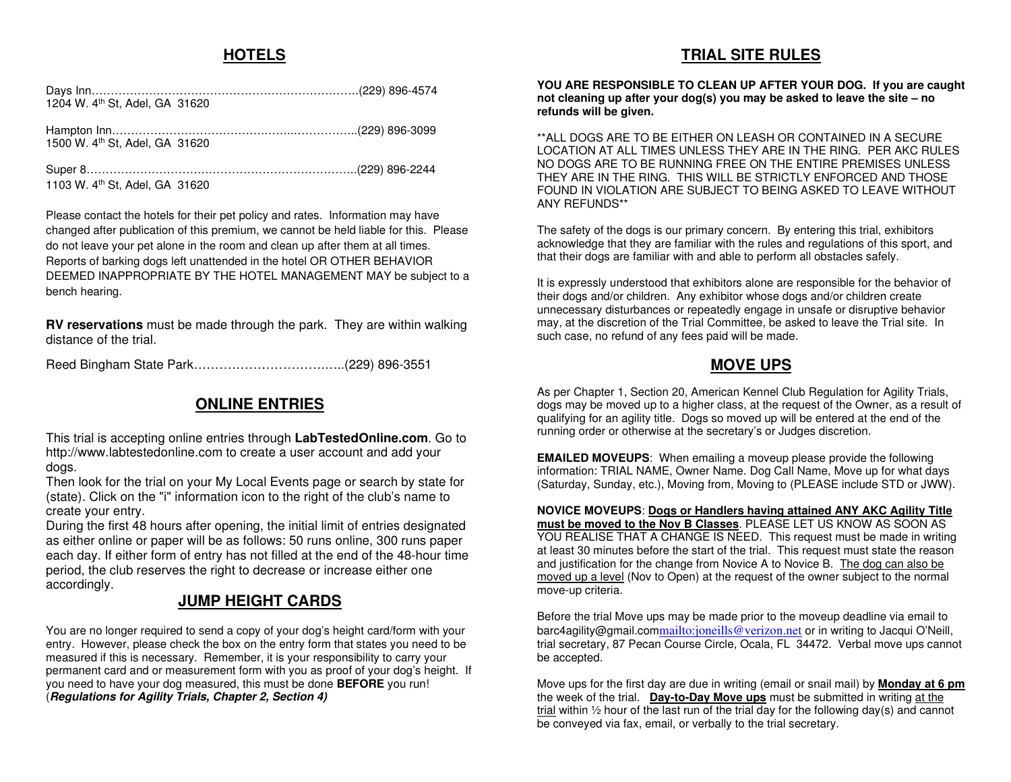### **HOTELS**

### **TRIAL SITE RULES**

| 1204 W. 4th St, Adel, GA 31620 |  |
|--------------------------------|--|
| 1500 W. 4th St. Adel, GA 31620 |  |
| 1103 W. 4th St, Adel, GA 31620 |  |

Please contact the hotels for their pet policy and rates. Information may have changed after publication of this premium, we cannot be held liable for this. Please do not leave your pet alone in the room and clean up after them at all times. Reports of barking dogs left unattended in the hotel OR OTHER BEHAVIOR DEEMED INAPPROPRIATE BY THE HOTEL MANAGEMENT MAY be subject to a bench hearing.

**RV reservations** must be made through the park. They are within walking distance of the trial.

Reed Bingham State Park………………………….…..(229) 896-3551

### **ONLINE ENTRIES**

This trial is accepting online entries through **LabTestedOnline.com**. Go to http://www.labtestedonline.com to create a user account and add your dogs.

 Then look for the trial on your My Local Events page or search by state for (state). Click on the "i" information icon to the right of the club's name to create your entry.

 During the first 48 hours after opening, the initial limit of entries designated as either online or paper will be as follows: 50 runs online, 300 runs paper each day. If either form of entry has not filled at the end of the 48-hour time period, the club reserves the right to decrease or increase either one accordingly.

### **JUMP HEIGHT CARDS**

You are no longer required to send a copy of your dog's height card/form with your entry. However, please check the box on the entry form that states you need to be measured if this is necessary. Remember, it is your responsibility to carry your permanent card and or measurement form with you as proof of your dog's height. If you need to have your dog measured, this must be done **BEFORE** you run! (**Regulations for Agility Trials, Chapter 2, Section 4)**

**YOU ARE RESPONSIBLE TO CLEAN UP AFTER YOUR DOG. If you are caught not cleaning up after your dog(s) you may be asked to leave the site – no refunds will be given.** 

\*\*ALL DOGS ARE TO BE EITHER ON LEASH OR CONTAINED IN A SECURE LOCATION AT ALL TIMES UNLESS THEY ARE IN THE RING. PER AKC RULES NO DOGS ARE TO BE RUNNING FREE ON THE ENTIRE PREMISES UNLESS THEY ARE IN THE RING. THIS WILL BE STRICTLY ENFORCED AND THOSE FOUND IN VIOLATION ARE SUBJECT TO BEING ASKED TO LEAVE WITHOUT ANY REFUNDS\*\*

The safety of the dogs is our primary concern. By entering this trial, exhibitors acknowledge that they are familiar with the rules and regulations of this sport, and that their dogs are familiar with and able to perform all obstacles safely.

It is expressly understood that exhibitors alone are responsible for the behavior of their dogs and/or children. Any exhibitor whose dogs and/or children create unnecessary disturbances or repeatedly engage in unsafe or disruptive behavior may, at the discretion of the Trial Committee, be asked to leave the Trial site. In such case, no refund of any fees paid will be made.

#### **MOVE UPS**

As per Chapter 1, Section 20, American Kennel Club Regulation for Agility Trials, dogs may be moved up to a higher class, at the request of the Owner, as a result of qualifying for an agility title. Dogs so moved up will be entered at the end of the running order or otherwise at the secretary's or Judges discretion.

**EMAILED MOVEUPS**: When emailing a moveup please provide the following information: TRIAL NAME, Owner Name. Dog Call Name, Move up for what days (Saturday, Sunday, etc.), Moving from, Moving to (PLEASE include STD or JWW).

**NOVICE MOVEUPS**: **Dogs or Handlers having attained ANY AKC Agility Title must be moved to the Nov B Classes**. PLEASE LET US KNOW AS SOON AS YOU REALISE THAT A CHANGE IS NEED. This request must be made in writing at least 30 minutes before the start of the trial. This request must state the reason and justification for the change from Novice A to Novice B. The dog can also be moved up a level (Nov to Open) at the request of the owner subject to the normal move-up criteria.

Before the trial Move ups may be made prior to the moveup deadline via email to barc4agility@gmail.commailto:joneills@verizon.net or in writing to Jacqui O'Neill, trial secretary, 87 Pecan Course Circle, Ocala, FL 34472. Verbal move ups cannot be accepted.

Move ups for the first day are due in writing (email or snail mail) by **Monday at 6 pm**the week of the trial. **Day-to-Day Move ups** must be submitted in writing at the trial within 1/2 hour of the last run of the trial day for the following day(s) and cannot be conveyed via fax, email, or verbally to the trial secretary.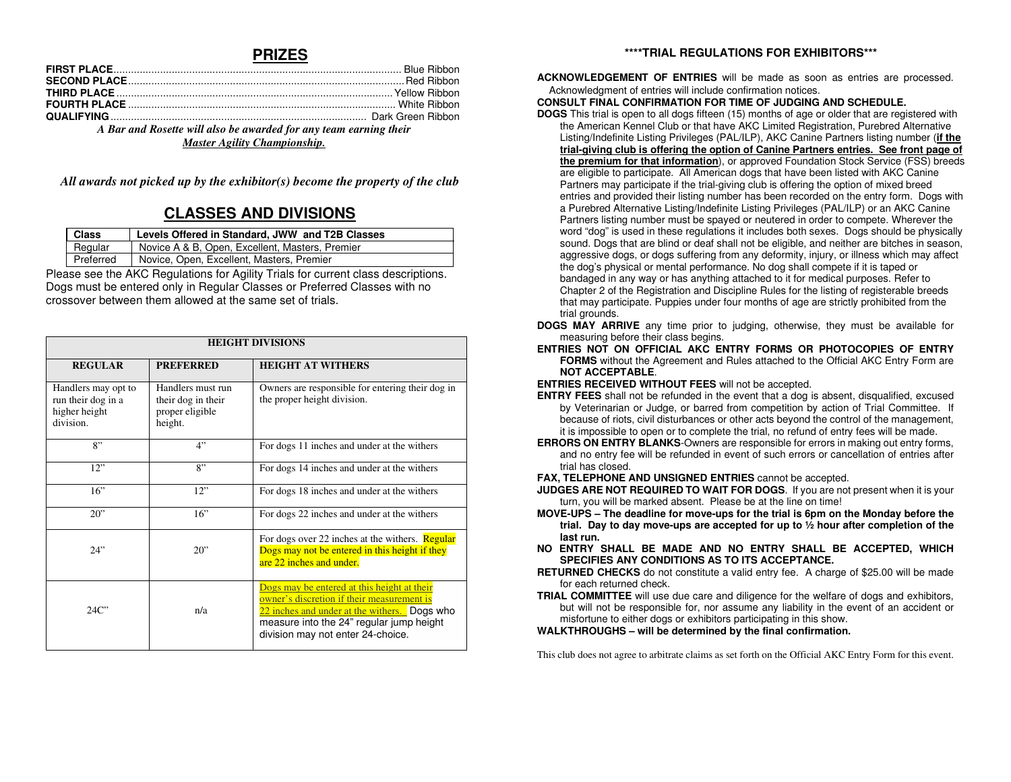#### **PRIZES**

| A Bar and Rosette will also be awarded for any team earning their<br>$\mathbf{r}$ , $\mathbf{r}$ , $\mathbf{r}$ , $\mathbf{r}$ , $\mathbf{r}$ , $\mathbf{r}$ , $\mathbf{r}$ , $\mathbf{r}$ , $\mathbf{r}$ , $\mathbf{r}$ , $\mathbf{r}$ , $\mathbf{r}$ , $\mathbf{r}$ , $\mathbf{r}$ , $\mathbf{r}$ , $\mathbf{r}$ , $\mathbf{r}$ , $\mathbf{r}$ , $\mathbf{r}$ , $\mathbf{r}$ , |  |
|----------------------------------------------------------------------------------------------------------------------------------------------------------------------------------------------------------------------------------------------------------------------------------------------------------------------------------------------------------------------------------|--|

*Master Agility Championship.* 

*All awards not picked up by the exhibitor(s) become the property of the club* 

### **CLASSES AND DIVISIONS**

| <b>Class</b> | Levels Offered in Standard, JWW and T2B Classes |
|--------------|-------------------------------------------------|
| Regular      | Novice A & B, Open, Excellent, Masters, Premier |
| Preferred    | Novice, Open, Excellent, Masters, Premier       |

Please see the AKC Regulations for Agility Trials for current class descriptions. Dogs must be entered only in Regular Classes or Preferred Classes with no crossover between them allowed at the same set of trials.

| <b>HEIGHT DIVISIONS</b>                                                 |                                                                       |                                                                                                                                                                                                                            |  |  |  |  |  |  |
|-------------------------------------------------------------------------|-----------------------------------------------------------------------|----------------------------------------------------------------------------------------------------------------------------------------------------------------------------------------------------------------------------|--|--|--|--|--|--|
| <b>REGULAR</b>                                                          | <b>PREFERRED</b>                                                      | <b>HEIGHT AT WITHERS</b>                                                                                                                                                                                                   |  |  |  |  |  |  |
| Handlers may opt to<br>run their dog in a<br>higher height<br>division. | Handlers must run<br>their dog in their<br>proper eligible<br>height. | Owners are responsible for entering their dog in<br>the proper height division.                                                                                                                                            |  |  |  |  |  |  |
| 8"                                                                      | 4"                                                                    | For dogs 11 inches and under at the withers                                                                                                                                                                                |  |  |  |  |  |  |
| 12                                                                      | $R$ "                                                                 | For dogs 14 inches and under at the withers                                                                                                                                                                                |  |  |  |  |  |  |
| 16"                                                                     | 12"                                                                   | For dogs 18 inches and under at the withers                                                                                                                                                                                |  |  |  |  |  |  |
| 20"                                                                     | 16"                                                                   | For dogs 22 inches and under at the withers                                                                                                                                                                                |  |  |  |  |  |  |
| 24"                                                                     | $20$ "                                                                | For dogs over 22 inches at the withers. <b>Regular</b><br>Dogs may not be entered in this height if they<br>are 22 inches and under.                                                                                       |  |  |  |  |  |  |
| 24C                                                                     | n/a                                                                   | Dogs may be entered at this height at their<br>owner's discretion if their measurement is<br>22 inches and under at the withers. Dogs who<br>measure into the 24" regular jump height<br>division may not enter 24-choice. |  |  |  |  |  |  |

#### **\*\*\*\*TRIAL REGULATIONS FOR EXHIBITORS\*\*\***

**ACKNOWLEDGEMENT OF ENTRIES** will be made as soon as entries are processed. Acknowledgment of entries will include confirmation notices.

#### **CONSULT FINAL CONFIRMATION FOR TIME OF JUDGING AND SCHEDULE.**

 **DOGS** This trial is open to all dogs fifteen (15) months of age or older that are registered with the American Kennel Club or that have AKC Limited Registration, Purebred Alternative Listing/Indefinite Listing Privileges (PAL/ILP), AKC Canine Partners listing number (**if the trial-giving club is offering the option of Canine Partners entries. See front page of the premium for that information**), or approved Foundation Stock Service (FSS) breedsare eligible to participate. All American dogs that have been listed with AKC Canine Partners may participate if the trial-giving club is offering the option of mixed breed entries and provided their listing number has been recorded on the entry form. Dogs with a Purebred Alternative Listing/Indefinite Listing Privileges (PAL/ILP) or an AKC Canine Partners listing number must be spayed or neutered in order to compete. Wherever the word "dog" is used in these regulations it includes both sexes. Dogs should be physically sound. Dogs that are blind or deaf shall not be eligible, and neither are bitches in season, aggressive dogs, or dogs suffering from any deformity, injury, or illness which may affect the dog's physical or mental performance. No dog shall compete if it is taped or bandaged in any way or has anything attached to it for medical purposes. Refer to Chapter 2 of the Registration and Discipline Rules for the listing of registerable breeds that may participate. Puppies under four months of age are strictly prohibited from the trial grounds.

- **DOGS MAY ARRIVE** any time prior to judging, otherwise, they must be available for measuring before their class begins.
- **ENTRIES NOT ON OFFICIAL AKC ENTRY FORMS OR PHOTOCOPIES OF ENTRY FORMS** without the Agreement and Rules attached to the Official AKC Entry Form are **NOT ACCEPTABLE**.

**ENTRIES RECEIVED WITHOUT FEES** will not be accepted.

- **ENTRY FEES** shall not be refunded in the event that a dog is absent, disqualified, excused by Veterinarian or Judge, or barred from competition by action of Trial Committee. If because of riots, civil disturbances or other acts beyond the control of the management, it is impossible to open or to complete the trial, no refund of entry fees will be made.
- **ERRORS ON ENTRY BLANKS**-Owners are responsible for errors in making out entry forms, and no entry fee will be refunded in event of such errors or cancellation of entries after trial has closed.

**FAX, TELEPHONE AND UNSIGNED ENTRIES** cannot be accepted.

- **JUDGES ARE NOT REQUIRED TO WAIT FOR DOGS**. If you are not present when it is your turn, you will be marked absent. Please be at the line on time!
- **MOVE-UPS The deadline for move-ups for the trial is 6pm on the Monday before the trial. Day to day move-ups are accepted for up to ½ hour after completion of the last run.**
- **NO ENTRY SHALL BE MADE AND NO ENTRY SHALL BE ACCEPTED, WHICH SPECIFIES ANY CONDITIONS AS TO ITS ACCEPTANCE.**
- **RETURNED CHECKS** do not constitute a valid entry fee. A charge of \$25.00 will be made for each returned check.
- **TRIAL COMMITTEE** will use due care and diligence for the welfare of dogs and exhibitors, but will not be responsible for, nor assume any liability in the event of an accident or misfortune to either dogs or exhibitors participating in this show.

#### **WALKTHROUGHS – will be determined by the final confirmation.**

This club does not agree to arbitrate claims as set forth on the Official AKC Entry Form for this event.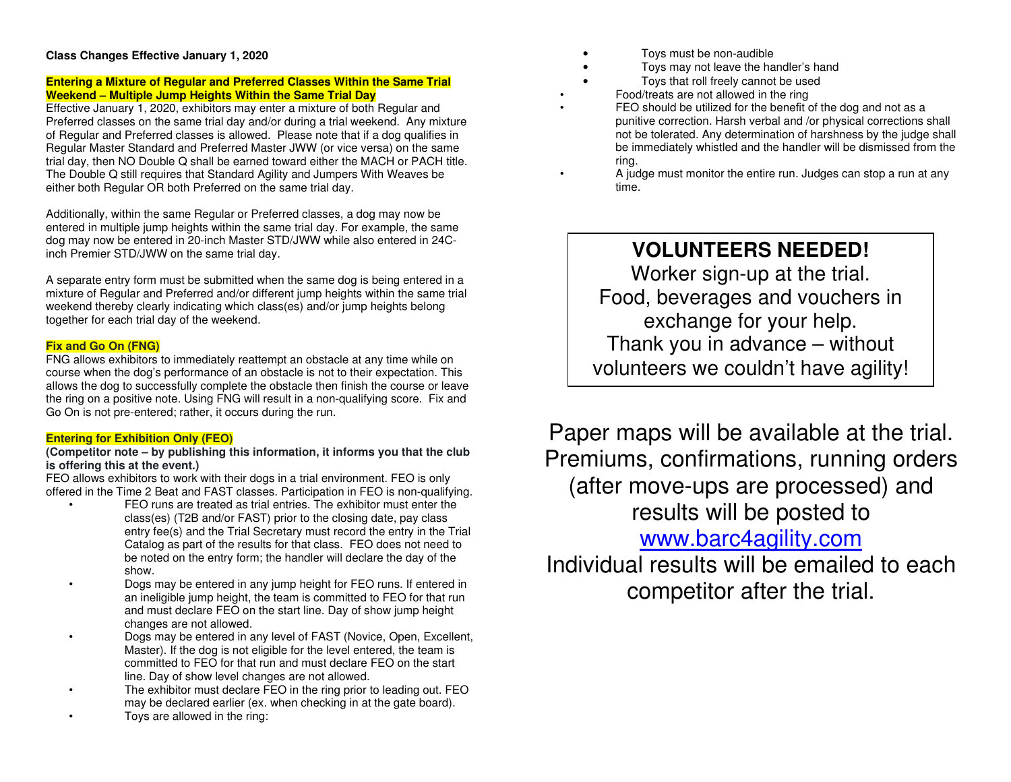#### **Class Changes Effective January 1, 2020**

#### **Entering a Mixture of Regular and Preferred Classes Within the Same Trial Weekend – Multiple Jump Heights Within the Same Trial Day**

 Effective January 1, 2020, exhibitors may enter a mixture of both Regular and Preferred classes on the same trial day and/or during a trial weekend. Any mixture of Regular and Preferred classes is allowed. Please note that if a dog qualifies in Regular Master Standard and Preferred Master JWW (or vice versa) on the same trial day, then NO Double Q shall be earned toward either the MACH or PACH title. The Double Q still requires that Standard Agility and Jumpers With Weaves be either both Regular OR both Preferred on the same trial day.

Additionally, within the same Regular or Preferred classes, a dog may now be entered in multiple jump heights within the same trial day. For example, the same dog may now be entered in 20-inch Master STD/JWW while also entered in 24Cinch Premier STD/JWW on the same trial day.

A separate entry form must be submitted when the same dog is being entered in a mixture of Regular and Preferred and/or different jump heights within the same trial weekend thereby clearly indicating which class(es) and/or jump heights belong together for each trial day of the weekend.

#### **Fix and Go On (FNG)**

 FNG allows exhibitors to immediately reattempt an obstacle at any time while on course when the dog's performance of an obstacle is not to their expectation. This allows the dog to successfully complete the obstacle then finish the course or leave the ring on a positive note. Using FNG will result in a non-qualifying score. Fix and Go On is not pre-entered; rather, it occurs during the run.

#### **Entering for Exhibition Only (FEO)**

 **(Competitor note – by publishing this information, it informs you that the club is offering this at the event.)** 

 FEO allows exhibitors to work with their dogs in a trial environment. FEO is only offered in the Time 2 Beat and FAST classes. Participation in FEO is non-qualifying.

- FEO runs are treated as trial entries. The exhibitor must enter the class(es) (T2B and/or FAST) prior to the closing date, pay class entry fee(s) and the Trial Secretary must record the entry in the Trial Catalog as part of the results for that class. FEO does not need to be noted on the entry form; the handler will declare the day of the show.
- Dogs may be entered in any jump height for FEO runs. If entered in an ineligible jump height, the team is committed to FEO for that run and must declare FEO on the start line. Day of show jump height changes are not allowed.
- Dogs may be entered in any level of FAST (Novice, Open, Excellent, Master). If the dog is not eligible for the level entered, the team is committed to FEO for that run and must declare FEO on the start line. Day of show level changes are not allowed.
- The exhibitor must declare FEO in the ring prior to leading out. FEO may be declared earlier (ex. when checking in at the gate board).
- Toys are allowed in the ring:
- Toys must be non-audible
- Toys may not leave the handler's hand
- Toys that roll freely cannot be used
- Food/treats are not allowed in the ring
- FEO should be utilized for the benefit of the dog and not as a punitive correction. Harsh verbal and /or physical corrections shall not be tolerated. Any determination of harshness by the judge shall be immediately whistled and the handler will be dismissed from the ring.
- A judge must monitor the entire run. Judges can stop a run at any time.

## **VOLUNTEERS NEEDED!**

Worker sign-up at the trial. Food, beverages and vouchers in exchange for your help. Thank you in advance – without volunteers we couldn't have agility!

Paper maps will be available at the trial. Premiums, confirmations, running orders (after move-ups are processed) and results will be posted to www.barc4agility.com

 Individual results will be emailed to each competitor after the trial.